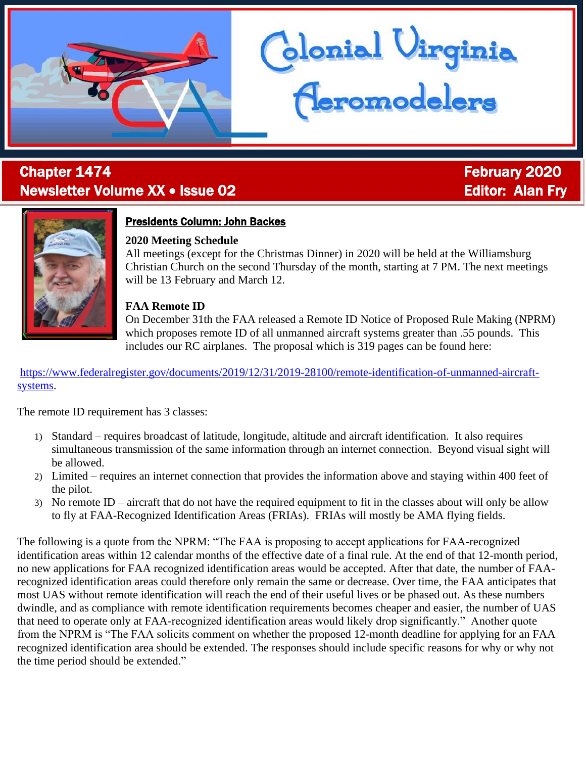# l **Chapter 1474 Chapter 1474 February 2020** Newsletter Volume XX • Issue 02 **Editor: Alan Fry** Editor: Alan Fry



# Presidents Column: John Backes

## **2020 Meeting Schedule**

All meetings (except for the Christmas Dinner) in 2020 will be held at the Williamsburg Christian Church on the second Thursday of the month, starting at 7 PM. The next meetings will be 13 February and March 12.

lonial Uirginia<br><mark>(Leromodelers</mark>

# **FAA Remote ID**

On December 31th the FAA released a Remote ID Notice of Proposed Rule Making (NPRM) which proposes remote ID of all unmanned aircraft systems greater than .55 pounds. This includes our RC airplanes. The proposal which is 319 pages can be found here:

[https://www.federalregister.gov/documents/2019/12/31/2019-28100/remote-identification-of-unmanned-aircraft](https://www.federalregister.gov/documents/2019/12/31/2019-28100/remote-identification-of-unmanned-aircraft-systems)[systems.](https://www.federalregister.gov/documents/2019/12/31/2019-28100/remote-identification-of-unmanned-aircraft-systems)

The remote ID requirement has 3 classes:

- 1) Standard requires broadcast of latitude, longitude, altitude and aircraft identification. It also requires simultaneous transmission of the same information through an internet connection. Beyond visual sight will be allowed.
- 2) Limited requires an internet connection that provides the information above and staying within 400 feet of the pilot.
- 3) No remote ID aircraft that do not have the required equipment to fit in the classes about will only be allow to fly at FAA-Recognized Identification Areas (FRIAs). FRIAs will mostly be AMA flying fields.

The following is a quote from the NPRM: "The FAA is proposing to accept applications for FAA-recognized identification areas within 12 calendar months of the effective date of a final rule. At the end of that 12-month period, no new applications for FAA recognized identification areas would be accepted. After that date, the number of FAArecognized identification areas could therefore only remain the same or decrease. Over time, the FAA anticipates that most UAS without remote identification will reach the end of their useful lives or be phased out. As these numbers dwindle, and as compliance with remote identification requirements becomes cheaper and easier, the number of UAS that need to operate only at FAA-recognized identification areas would likely drop significantly." Another quote from the NPRM is "The FAA solicits comment on whether the proposed 12-month deadline for applying for an FAA recognized identification area should be extended. The responses should include specific reasons for why or why not the time period should be extended."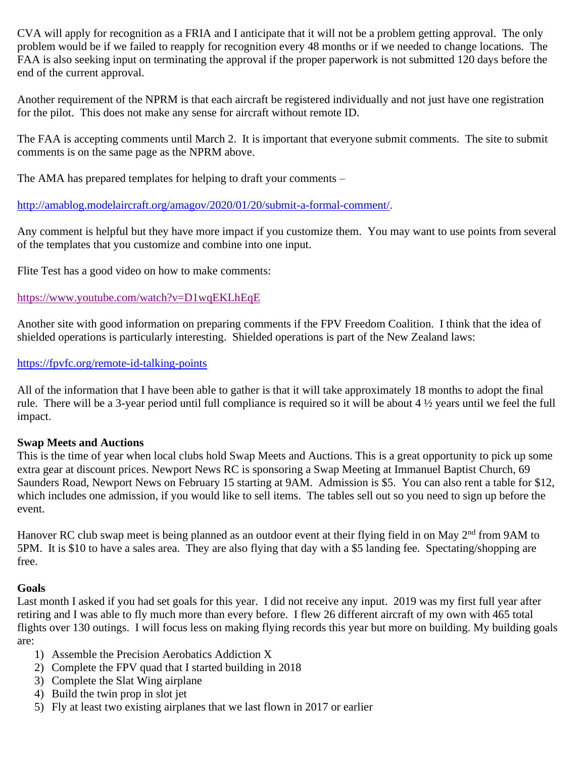CVA will apply for recognition as a FRIA and I anticipate that it will not be a problem getting approval. The only problem would be if we failed to reapply for recognition every 48 months or if we needed to change locations. The FAA is also seeking input on terminating the approval if the proper paperwork is not submitted 120 days before the end of the current approval.

Another requirement of the NPRM is that each aircraft be registered individually and not just have one registration for the pilot. This does not make any sense for aircraft without remote ID.

The FAA is accepting comments until March 2. It is important that everyone submit comments. The site to submit comments is on the same page as the NPRM above.

The AMA has prepared templates for helping to draft your comments –

[http://amablog.modelaircraft.org/amagov/2020/01/20/submit-a-formal-comment/.](http://amablog.modelaircraft.org/amagov/2020/01/20/submit-a-formal-comment/)

Any comment is helpful but they have more impact if you customize them. You may want to use points from several of the templates that you customize and combine into one input.

Flite Test has a good video on how to make comments:

#### <https://www.youtube.com/watch?v=D1wqEKLhEqE>

Another site with good information on preparing comments if the FPV Freedom Coalition. I think that the idea of shielded operations is particularly interesting. Shielded operations is part of the New Zealand laws:

#### <https://fpvfc.org/remote-id-talking-points>

All of the information that I have been able to gather is that it will take approximately 18 months to adopt the final rule. There will be a 3-year period until full compliance is required so it will be about  $4\frac{1}{2}$  years until we feel the full impact.

#### **Swap Meets and Auctions**

This is the time of year when local clubs hold Swap Meets and Auctions. This is a great opportunity to pick up some extra gear at discount prices. Newport News RC is sponsoring a Swap Meeting at Immanuel Baptist Church, 69 Saunders Road, Newport News on February 15 starting at 9AM. Admission is \$5. You can also rent a table for \$12, which includes one admission, if you would like to sell items. The tables sell out so you need to sign up before the event.

Hanover RC club swap meet is being planned as an outdoor event at their flying field in on May 2<sup>nd</sup> from 9AM to 5PM. It is \$10 to have a sales area. They are also flying that day with a \$5 landing fee. Spectating/shopping are free.

#### **Goals**

Last month I asked if you had set goals for this year. I did not receive any input. 2019 was my first full year after retiring and I was able to fly much more than every before. I flew 26 different aircraft of my own with 465 total flights over 130 outings. I will focus less on making flying records this year but more on building. My building goals are:

- 1) Assemble the Precision Aerobatics Addiction X
- 2) Complete the FPV quad that I started building in 2018
- 3) Complete the Slat Wing airplane
- 4) Build the twin prop in slot jet
- 5) Fly at least two existing airplanes that we last flown in 2017 or earlier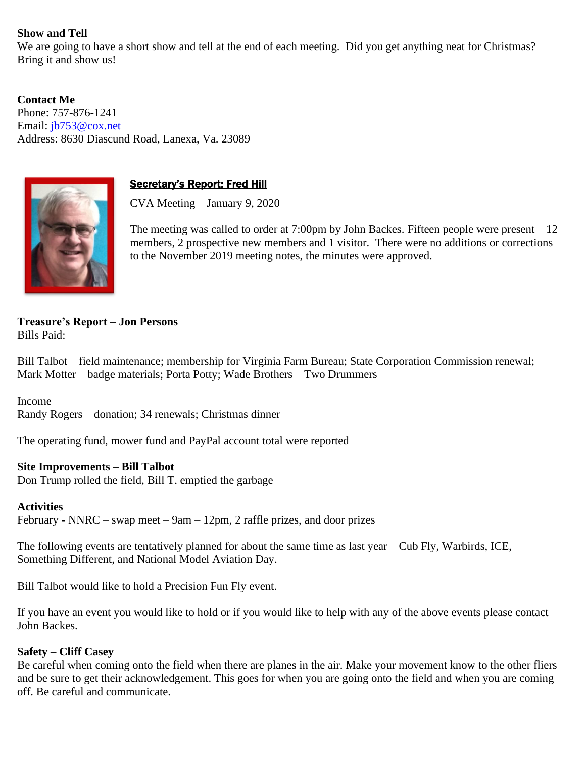### **Show and Tell**

We are going to have a short show and tell at the end of each meeting. Did you get anything neat for Christmas? Bring it and show us!

**Contact Me** Phone: 757-876-1241 Email: [jb753@cox.net](mailto:jb753@cox.net) Address: 8630 Diascund Road, Lanexa, Va. 23089



### **Secretary's Report: Fred Hill**

CVA Meeting – January 9, 2020

The meeting was called to order at  $7:00 \text{pm}$  by John Backes. Fifteen people were present  $-12$ members, 2 prospective new members and 1 visitor. There were no additions or corrections to the November 2019 meeting notes, the minutes were approved.

**Treasure's Report – Jon Persons** Bills Paid:

Bill Talbot – field maintenance; membership for Virginia Farm Bureau; State Corporation Commission renewal; Mark Motter – badge materials; Porta Potty; Wade Brothers – Two Drummers

Income – Randy Rogers – donation; 34 renewals; Christmas dinner

The operating fund, mower fund and PayPal account total were reported

#### **Site Improvements – Bill Talbot**

Don Trump rolled the field, Bill T. emptied the garbage

**Activities**

February - NNRC – swap meet – 9am – 12pm, 2 raffle prizes, and door prizes

The following events are tentatively planned for about the same time as last year – Cub Fly, Warbirds, ICE, Something Different, and National Model Aviation Day.

Bill Talbot would like to hold a Precision Fun Fly event.

If you have an event you would like to hold or if you would like to help with any of the above events please contact John Backes.

#### **Safety – Cliff Casey**

Be careful when coming onto the field when there are planes in the air. Make your movement know to the other fliers and be sure to get their acknowledgement. This goes for when you are going onto the field and when you are coming off. Be careful and communicate.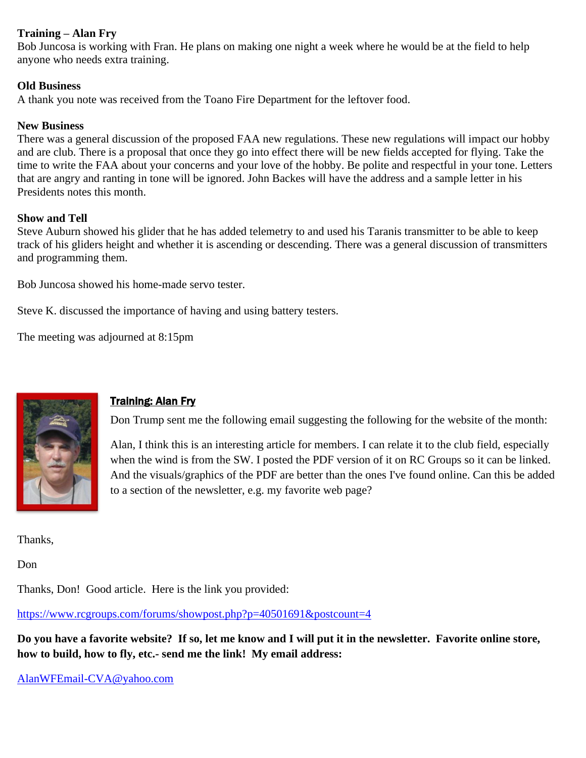#### **Training – Alan Fry**

Bob Juncosa is working with Fran. He plans on making one night a week where he would be at the field to help anyone who needs extra training.

#### **Old Business**

A thank you note was received from the Toano Fire Department for the leftover food.

#### **New Business**

There was a general discussion of the proposed FAA new regulations. These new regulations will impact our hobby and are club. There is a proposal that once they go into effect there will be new fields accepted for flying. Take the time to write the FAA about your concerns and your love of the hobby. Be polite and respectful in your tone. Letters that are angry and ranting in tone will be ignored. John Backes will have the address and a sample letter in his Presidents notes this month.

#### **Show and Tell**

Steve Auburn showed his glider that he has added telemetry to and used his Taranis transmitter to be able to keep track of his gliders height and whether it is ascending or descending. There was a general discussion of transmitters and programming them.

Bob Juncosa showed his home-made servo tester.

Steve K. discussed the importance of having and using battery testers.

The meeting was adjourned at 8:15pm



# Training: Alan Fry

Don Trump sent me the following email suggesting the following for the website of the month:

Alan, I think this is an interesting article for members. I can relate it to the club field, especially when the wind is from the SW. I posted the PDF version of it on RC Groups so it can be linked. And the visuals/graphics of the PDF are better than the ones I've found online. Can this be added to a section of the newsletter, e.g. my favorite web page?

Thanks,

Don

Thanks, Don! Good article. Here is the link you provided:

<https://www.rcgroups.com/forums/showpost.php?p=40501691&postcount=4>

**Do you have a favorite website? If so, let me know and I will put it in the newsletter. Favorite online store, how to build, how to fly, etc.- send me the link! My email address:**

[AlanWFEmail-CVA@yahoo.com](mailto:AlanWFEmail-CVA@yahoo.com)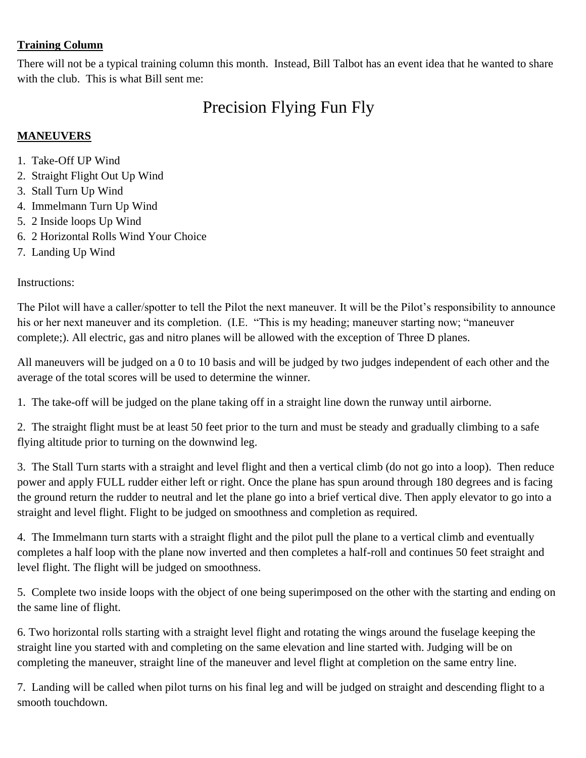# **Training Column**

There will not be a typical training column this month. Instead, Bill Talbot has an event idea that he wanted to share with the club. This is what Bill sent me:

# Precision Flying Fun Fly

# **MANEUVERS**

- 1. Take-Off UP Wind
- 2. Straight Flight Out Up Wind
- 3. Stall Turn Up Wind
- 4. Immelmann Turn Up Wind
- 5. 2 Inside loops Up Wind
- 6. 2 Horizontal Rolls Wind Your Choice
- 7. Landing Up Wind

Instructions:

The Pilot will have a caller/spotter to tell the Pilot the next maneuver. It will be the Pilot's responsibility to announce his or her next maneuver and its completion. (I.E. "This is my heading; maneuver starting now; "maneuver complete;). All electric, gas and nitro planes will be allowed with the exception of Three D planes.

All maneuvers will be judged on a 0 to 10 basis and will be judged by two judges independent of each other and the average of the total scores will be used to determine the winner.

1. The take-off will be judged on the plane taking off in a straight line down the runway until airborne.

2. The straight flight must be at least 50 feet prior to the turn and must be steady and gradually climbing to a safe flying altitude prior to turning on the downwind leg.

3. The Stall Turn starts with a straight and level flight and then a vertical climb (do not go into a loop). Then reduce power and apply FULL rudder either left or right. Once the plane has spun around through 180 degrees and is facing the ground return the rudder to neutral and let the plane go into a brief vertical dive. Then apply elevator to go into a straight and level flight. Flight to be judged on smoothness and completion as required.

4. The Immelmann turn starts with a straight flight and the pilot pull the plane to a vertical climb and eventually completes a half loop with the plane now inverted and then completes a half-roll and continues 50 feet straight and level flight. The flight will be judged on smoothness.

5. Complete two inside loops with the object of one being superimposed on the other with the starting and ending on the same line of flight.

6. Two horizontal rolls starting with a straight level flight and rotating the wings around the fuselage keeping the straight line you started with and completing on the same elevation and line started with. Judging will be on completing the maneuver, straight line of the maneuver and level flight at completion on the same entry line.

7. Landing will be called when pilot turns on his final leg and will be judged on straight and descending flight to a smooth touchdown.